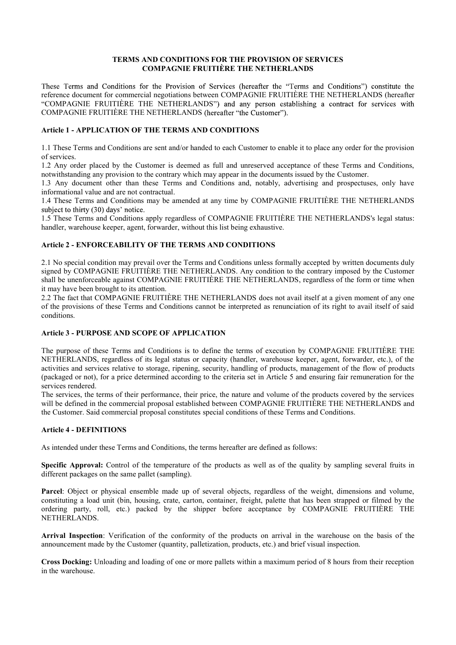#### TERMS AND CONDITIONS FOR THE PROVISION OF SERVICES COMPAGNIE FRUITIÈRE THE NETHERLANDS

These Terms and Conditions for the Provision of Services (hereafter the "Terms and Conditions") constitute the reference document for commercial negotiations between COMPAGNIE FRUITIÈRE THE NETHERLANDS (hereafter "COMPAGNIE FRUITIÈRE THE NETHERLANDS") and any person establishing a contract for services with COMPAGNIE FRUITIÈRE THE NETHERLANDS (hereafter "the Customer").

# Article 1 - APPLICATION OF THE TERMS AND CONDITIONS

1.1 These Terms and Conditions are sent and/or handed to each Customer to enable it to place any order for the provision of services.

1.2 Any order placed by the Customer is deemed as full and unreserved acceptance of these Terms and Conditions, notwithstanding any provision to the contrary which may appear in the documents issued by the Customer.

1.3 Any document other than these Terms and Conditions and, notably, advertising and prospectuses, only have informational value and are not contractual.

1.4 These Terms and Conditions may be amended at any time by COMPAGNIE FRUITIÈRE THE NETHERLANDS subject to thirty (30) days' notice.

1.5 These Terms and Conditions apply regardless of COMPAGNIE FRUITIÈRE THE NETHERLANDS's legal status: handler, warehouse keeper, agent, forwarder, without this list being exhaustive.

# Article 2 - ENFORCEABILITY OF THE TERMS AND CONDITIONS

2.1 No special condition may prevail over the Terms and Conditions unless formally accepted by written documents duly signed by COMPAGNIE FRUITIÈRE THE NETHERLANDS. Any condition to the contrary imposed by the Customer shall be unenforceable against COMPAGNIE FRUITIÈRE THE NETHERLANDS, regardless of the form or time when it may have been brought to its attention.

2.2 The fact that COMPAGNIE FRUITIÈRE THE NETHERLANDS does not avail itself at a given moment of any one of the provisions of these Terms and Conditions cannot be interpreted as renunciation of its right to avail itself of said conditions.

# Article 3 - PURPOSE AND SCOPE OF APPLICATION

The purpose of these Terms and Conditions is to define the terms of execution by COMPAGNIE FRUITIÈRE THE NETHERLANDS, regardless of its legal status or capacity (handler, warehouse keeper, agent, forwarder, etc.), of the activities and services relative to storage, ripening, security, handling of products, management of the flow of products (packaged or not), for a price determined according to the criteria set in Article 5 and ensuring fair remuneration for the services rendered.

The services, the terms of their performance, their price, the nature and volume of the products covered by the services will be defined in the commercial proposal established between COMPAGNIE FRUITIÈRE THE NETHERLANDS and the Customer. Said commercial proposal constitutes special conditions of these Terms and Conditions.

#### Article 4 - DEFINITIONS

As intended under these Terms and Conditions, the terms hereafter are defined as follows:

Specific Approval: Control of the temperature of the products as well as of the quality by sampling several fruits in different packages on the same pallet (sampling).

Parcel: Object or physical ensemble made up of several objects, regardless of the weight, dimensions and volume, constituting a load unit (bin, housing, crate, carton, container, freight, palette that has been strapped or filmed by the ordering party, roll, etc.) packed by the shipper before acceptance by COMPAGNIE FRUITIÈRE THE NETHERLANDS.

Arrival Inspection: Verification of the conformity of the products on arrival in the warehouse on the basis of the announcement made by the Customer (quantity, palletization, products, etc.) and brief visual inspection.

Cross Docking: Unloading and loading of one or more pallets within a maximum period of 8 hours from their reception in the warehouse.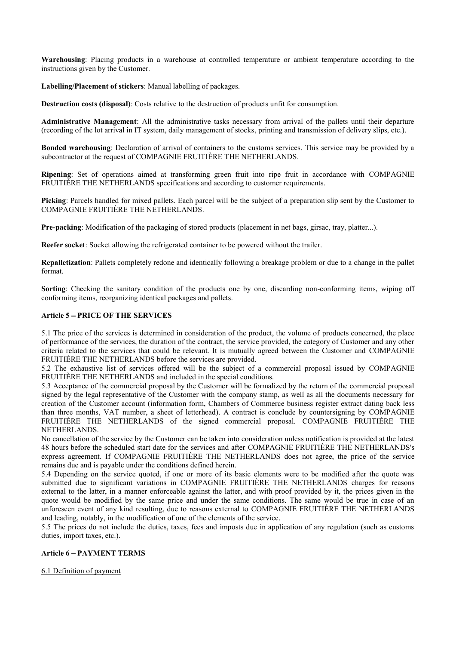Warehousing: Placing products in a warehouse at controlled temperature or ambient temperature according to the instructions given by the Customer.

Labelling/Placement of stickers: Manual labelling of packages.

Destruction costs (disposal): Costs relative to the destruction of products unfit for consumption.

Administrative Management: All the administrative tasks necessary from arrival of the pallets until their departure (recording of the lot arrival in IT system, daily management of stocks, printing and transmission of delivery slips, etc.).

Bonded warehousing: Declaration of arrival of containers to the customs services. This service may be provided by a subcontractor at the request of COMPAGNIE FRUITIÈRE THE NETHERLANDS.

Ripening: Set of operations aimed at transforming green fruit into ripe fruit in accordance with COMPAGNIE FRUITIÈRE THE NETHERLANDS specifications and according to customer requirements.

Picking: Parcels handled for mixed pallets. Each parcel will be the subject of a preparation slip sent by the Customer to COMPAGNIE FRUITIÈRE THE NETHERLANDS.

Pre-packing: Modification of the packaging of stored products (placement in net bags, girsac, tray, platter...).

Reefer socket: Socket allowing the refrigerated container to be powered without the trailer.

Repalletization: Pallets completely redone and identically following a breakage problem or due to a change in the pallet format.

Sorting: Checking the sanitary condition of the products one by one, discarding non-conforming items, wiping off conforming items, reorganizing identical packages and pallets.

#### Article 5 - PRICE OF THE SERVICES

5.1 The price of the services is determined in consideration of the product, the volume of products concerned, the place of performance of the services, the duration of the contract, the service provided, the category of Customer and any other criteria related to the services that could be relevant. It is mutually agreed between the Customer and COMPAGNIE FRUITIÈRE THE NETHERLANDS before the services are provided.

5.2 The exhaustive list of services offered will be the subject of a commercial proposal issued by COMPAGNIE FRUITIÈRE THE NETHERLANDS and included in the special conditions.

5.3 Acceptance of the commercial proposal by the Customer will be formalized by the return of the commercial proposal signed by the legal representative of the Customer with the company stamp, as well as all the documents necessary for creation of the Customer account (information form, Chambers of Commerce business register extract dating back less than three months, VAT number, a sheet of letterhead). A contract is conclude by countersigning by COMPAGNIE FRUITIÈRE THE NETHERLANDS of the signed commercial proposal. COMPAGNIE FRUITIÈRE THE NETHERLANDS.

No cancellation of the service by the Customer can be taken into consideration unless notification is provided at the latest 48 hours before the scheduled start date for the services and after COMPAGNIE FRUITIÈRE THE NETHERLANDS's express agreement. If COMPAGNIE FRUITIÈRE THE NETHERLANDS does not agree, the price of the service remains due and is payable under the conditions defined herein.

5.4 Depending on the service quoted, if one or more of its basic elements were to be modified after the quote was submitted due to significant variations in COMPAGNIE FRUITIÈRE THE NETHERLANDS charges for reasons external to the latter, in a manner enforceable against the latter, and with proof provided by it, the prices given in the quote would be modified by the same price and under the same conditions. The same would be true in case of an unforeseen event of any kind resulting, due to reasons external to COMPAGNIE FRUITIÈRE THE NETHERLANDS and leading, notably, in the modification of one of the elements of the service.

5.5 The prices do not include the duties, taxes, fees and imposts due in application of any regulation (such as customs duties, import taxes, etc.).

#### Article 6 - PAYMENT TERMS

6.1 Definition of payment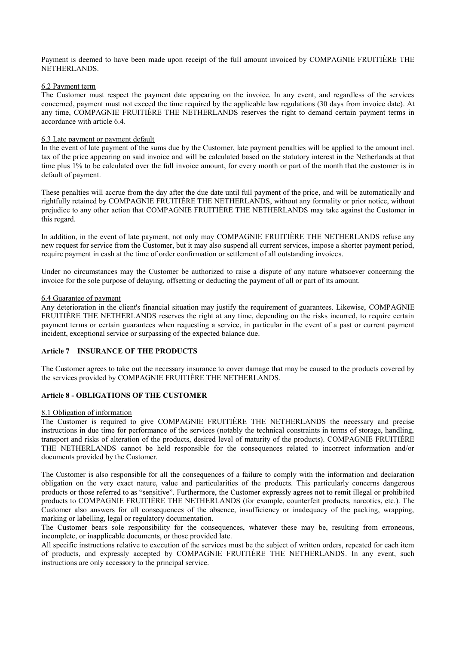Payment is deemed to have been made upon receipt of the full amount invoiced by COMPAGNIE FRUITIÈRE THE NETHERLANDS.

#### 6.2 Payment term

The Customer must respect the payment date appearing on the invoice. In any event, and regardless of the services concerned, payment must not exceed the time required by the applicable law regulations (30 days from invoice date). At any time, COMPAGNIE FRUITIÈRE THE NETHERLANDS reserves the right to demand certain payment terms in accordance with article 6.4.

#### 6.3 Late payment or payment default

In the event of late payment of the sums due by the Customer, late payment penalties will be applied to the amount incl. tax of the price appearing on said invoice and will be calculated based on the statutory interest in the Netherlands at that time plus 1% to be calculated over the full invoice amount, for every month or part of the month that the customer is in default of payment.

These penalties will accrue from the day after the due date until full payment of the price, and will be automatically and rightfully retained by COMPAGNIE FRUITIÈRE THE NETHERLANDS, without any formality or prior notice, without prejudice to any other action that COMPAGNIE FRUITIÈRE THE NETHERLANDS may take against the Customer in this regard.

In addition, in the event of late payment, not only may COMPAGNIE FRUITIÈRE THE NETHERLANDS refuse any new request for service from the Customer, but it may also suspend all current services, impose a shorter payment period, require payment in cash at the time of order confirmation or settlement of all outstanding invoices.

Under no circumstances may the Customer be authorized to raise a dispute of any nature whatsoever concerning the invoice for the sole purpose of delaying, offsetting or deducting the payment of all or part of its amount.

#### 6.4 Guarantee of payment

Any deterioration in the client's financial situation may justify the requirement of guarantees. Likewise, COMPAGNIE FRUITIÈRE THE NETHERLANDS reserves the right at any time, depending on the risks incurred, to require certain payment terms or certain guarantees when requesting a service, in particular in the event of a past or current payment incident, exceptional service or surpassing of the expected balance due.

#### Article 7 - INSURANCE OF THE PRODUCTS

The Customer agrees to take out the necessary insurance to cover damage that may be caused to the products covered by the services provided by COMPAGNIE FRUITIÈRE THE NETHERLANDS.

#### Article 8 - OBLIGATIONS OF THE CUSTOMER

#### 8.1 Obligation of information

The Customer is required to give COMPAGNIE FRUITIÈRE THE NETHERLANDS the necessary and precise instructions in due time for performance of the services (notably the technical constraints in terms of storage, handling, transport and risks of alteration of the products, desired level of maturity of the products). COMPAGNIE FRUITIÈRE THE NETHERLANDS cannot be held responsible for the consequences related to incorrect information and/or documents provided by the Customer.

The Customer is also responsible for all the consequences of a failure to comply with the information and declaration obligation on the very exact nature, value and particularities of the products. This particularly concerns dangerous products or those referred to as "sensitive". Furthermore, the Customer expressly agrees not to remit illegal or prohibited products to COMPAGNIE FRUITIÈRE THE NETHERLANDS (for example, counterfeit products, narcotics, etc.). The Customer also answers for all consequences of the absence, insufficiency or inadequacy of the packing, wrapping, marking or labelling, legal or regulatory documentation.

The Customer bears sole responsibility for the consequences, whatever these may be, resulting from erroneous, incomplete, or inapplicable documents, or those provided late.

All specific instructions relative to execution of the services must be the subject of written orders, repeated for each item of products, and expressly accepted by COMPAGNIE FRUITIÈRE THE NETHERLANDS. In any event, such instructions are only accessory to the principal service.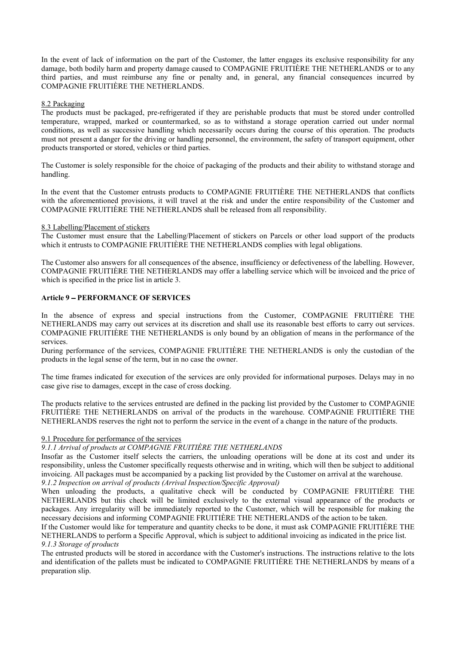In the event of lack of information on the part of the Customer, the latter engages its exclusive responsibility for any damage, both bodily harm and property damage caused to COMPAGNIE FRUITIÈRE THE NETHERLANDS or to any third parties, and must reimburse any fine or penalty and, in general, any financial consequences incurred by COMPAGNIE FRUITIÈRE THE NETHERLANDS. 8.2 Packaging

The products must be packaged, pre-refrigerated if they are perishable products that must be stored under controlled temperature, wrapped, marked or countermarked, so as to withstand a storage operation carried out under normal conditions, as well as successive handling which necessarily occurs during the course of this operation. The products must not present a danger for the driving or handling personnel, the environment, the safety of transport equipment, other products transported or stored, vehicles or third parties.

The Customer is solely responsible for the choice of packaging of the products and their ability to withstand storage and handling.

In the event that the Customer entrusts products to COMPAGNIE FRUITIÈRE THE NETHERLANDS that conflicts with the aforementioned provisions, it will travel at the risk and under the entire responsibility of the Customer and COMPAGNIE FRUITIÈRE THE NETHERLANDS shall be released from all responsibility.

#### 8.3 Labelling/Placement of stickers

The Customer must ensure that the Labelling/Placement of stickers on Parcels or other load support of the products which it entrusts to COMPAGNIE FRUITIÈRE THE NETHERLANDS complies with legal obligations.

The Customer also answers for all consequences of the absence, insufficiency or defectiveness of the labelling. However, COMPAGNIE FRUITIÈRE THE NETHERLANDS may offer a labelling service which will be invoiced and the price of which is specified in the price list in article 3.

# Article 9 - PERFORMANCE OF SERVICES

In the absence of express and special instructions from the Customer, COMPAGNIE FRUITIÈRE THE NETHERLANDS may carry out services at its discretion and shall use its reasonable best efforts to carry out services. COMPAGNIE FRUITIÈRE THE NETHERLANDS is only bound by an obligation of means in the performance of the services.

During performance of the services, COMPAGNIE FRUITIÈRE THE NETHERLANDS is only the custodian of the products in the legal sense of the term, but in no case the owner.

The time frames indicated for execution of the services are only provided for informational purposes. Delays may in no case give rise to damages, except in the case of cross docking.

The products relative to the services entrusted are defined in the packing list provided by the Customer to COMPAGNIE FRUITIÈRE THE NETHERLANDS on arrival of the products in the warehouse. COMPAGNIE FRUITIÈRE THE NETHERLANDS reserves the right not to perform the service in the event of a change in the nature of the products.

#### 9.1 Procedure for performance of the services

# 9.1.1 Arrival of products at COMPAGNIE FRUITIÈRE THE NETHERLANDS

Insofar as the Customer itself selects the carriers, the unloading operations will be done at its cost and under its responsibility, unless the Customer specifically requests otherwise and in writing, which will then be subject to additional invoicing. All packages must be accompanied by a packing list provided by the Customer on arrival at the warehouse. 9.1.2 Inspection on arrival of products (Arrival Inspection/Specific Approval)

When unloading the products, a qualitative check will be conducted by COMPAGNIE FRUITIÈRE THE NETHERLANDS but this check will be limited exclusively to the external visual appearance of the products or packages. Any irregularity will be immediately reported to the Customer, which will be responsible for making the necessary decisions and informing COMPAGNIE FRUITIÈRE THE NETHERLANDS of the action to be taken.

If the Customer would like for temperature and quantity checks to be done, it must ask COMPAGNIE FRUITIÈRE THE NETHERLANDS to perform a Specific Approval, which is subject to additional invoicing as indicated in the price list. 9.1.3 Storage of products

The entrusted products will be stored in accordance with the Customer's instructions. The instructions relative to the lots and identification of the pallets must be indicated to COMPAGNIE FRUITIÈRE THE NETHERLANDS by means of a preparation slip.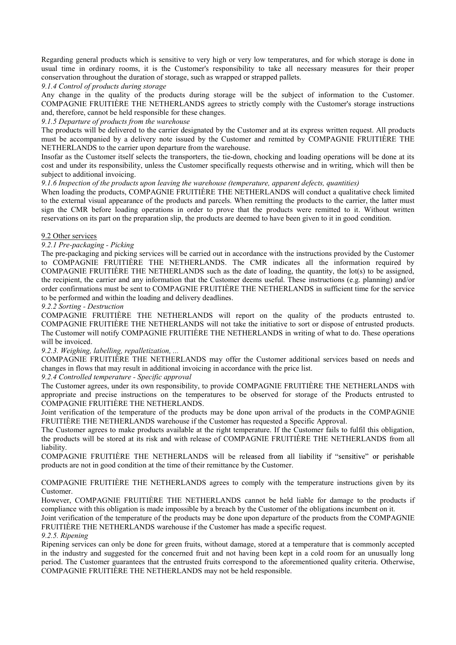Regarding general products which is sensitive to very high or very low temperatures, and for which storage is done in usual time in ordinary rooms, it is the Customer's responsibility to take all necessary measures for their proper conservation throughout the duration of storage, such as wrapped or strapped pallets.

9.1.4 Control of products during storage

Any change in the quality of the products during storage will be the subject of information to the Customer. COMPAGNIE FRUITIÈRE THE NETHERLANDS agrees to strictly comply with the Customer's storage instructions and, therefore, cannot be held responsible for these changes.

9.1.5 Departure of products from the warehouse

The products will be delivered to the carrier designated by the Customer and at its express written request. All products must be accompanied by a delivery note issued by the Customer and remitted by COMPAGNIE FRUITIÈRE THE NETHERLANDS to the carrier upon departure from the warehouse.

Insofar as the Customer itself selects the transporters, the tie-down, chocking and loading operations will be done at its cost and under its responsibility, unless the Customer specifically requests otherwise and in writing, which will then be subject to additional invoicing.

9.1.6 Inspection of the products upon leaving the warehouse (temperature, apparent defects, quantities)

When loading the products, COMPAGNIE FRUITIÈRE THE NETHERLANDS will conduct a qualitative check limited to the external visual appearance of the products and parcels. When remitting the products to the carrier, the latter must sign the CMR before loading operations in order to prove that the products were remitted to it. Without written reservations on its part on the preparation slip, the products are deemed to have been given to it in good condition.

#### 9.2 Other services

#### 9.2.1 Pre-packaging - Picking

The pre-packaging and picking services will be carried out in accordance with the instructions provided by the Customer to COMPAGNIE FRUITIÈRE THE NETHERLANDS. The CMR indicates all the information required by COMPAGNIE FRUITIÈRE THE NETHERLANDS such as the date of loading, the quantity, the lot(s) to be assigned, the recipient, the carrier and any information that the Customer deems useful. These instructions (e.g. planning) and/or order confirmations must be sent to COMPAGNIE FRUITIÈRE THE NETHERLANDS in sufficient time for the service to be performed and within the loading and delivery deadlines.

#### 9.2.2 Sorting - Destruction

COMPAGNIE FRUITIÈRE THE NETHERLANDS will report on the quality of the products entrusted to. COMPAGNIE FRUITIÈRE THE NETHERLANDS will not take the initiative to sort or dispose of entrusted products. The Customer will notify COMPAGNIE FRUITIÈRE THE NETHERLANDS in writing of what to do. These operations will be invoiced.

### 9.2.3. Weighing, labelling, repalletization, ...

COMPAGNIE FRUITIÈRE THE NETHERLANDS may offer the Customer additional services based on needs and changes in flows that may result in additional invoicing in accordance with the price list.

9.2.4 Controlled temperature - Specific approval

The Customer agrees, under its own responsibility, to provide COMPAGNIE FRUITIÈRE THE NETHERLANDS with appropriate and precise instructions on the temperatures to be observed for storage of the Products entrusted to COMPAGNIE FRUITIÈRE THE NETHERLANDS. Joint verification of the temperature of the products may be done upon arrival of the products in the COMPAGNIE

FRUITIÈRE THE NETHERLANDS warehouse if the Customer has requested a Specific Approval.

The Customer agrees to make products available at the right temperature. If the Customer fails to fulfil this obligation, the products will be stored at its risk and with release of COMPAGNIE FRUITIÈRE THE NETHERLANDS from all liability.

COMPAGNIE FRUITIÈRE THE NETHERLANDS will be released from all liability if "sensitive" or perishable products are not in good condition at the time of their remittance by the Customer.

## COMPAGNIE FRUITIÈRE THE NETHERLANDS agrees to comply with the temperature instructions given by its Customer.

However, COMPAGNIE FRUITIÈRE THE NETHERLANDS cannot be held liable for damage to the products if compliance with this obligation is made impossible by a breach by the Customer of the obligations incumbent on it.

Joint verification of the temperature of the products may be done upon departure of the products from the COMPAGNIE FRUITIÈRE THE NETHERLANDS warehouse if the Customer has made a specific request.

# 9.2.5. Ripening

Ripening services can only be done for green fruits, without damage, stored at a temperature that is commonly accepted in the industry and suggested for the concerned fruit and not having been kept in a cold room for an unusually long period. The Customer guarantees that the entrusted fruits correspond to the aforementioned quality criteria. Otherwise, COMPAGNIE FRUITIÈRE THE NETHERLANDS may not be held responsible.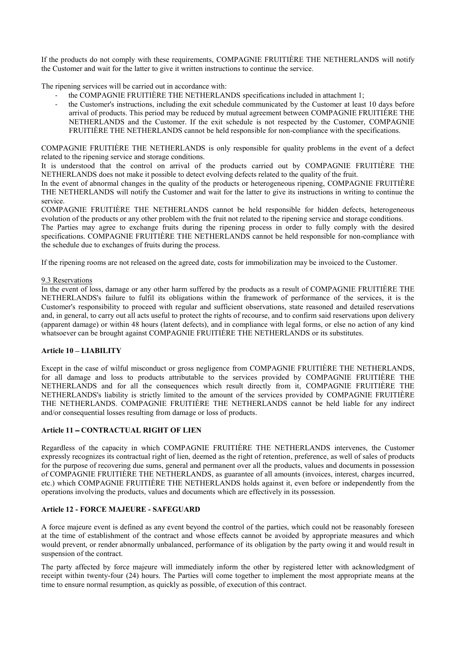If the products do not comply with these requirements, COMPAGNIE FRUITIÈRE THE NETHERLANDS will notify the Customer and wait for the latter to give it written instructions to continue the service.

The ripening services will be carried out in accordance with:

- the COMPAGNIE FRUITIÈRE THE NETHERLANDS specifications included in attachment 1;
- the Customer's instructions, including the exit schedule communicated by the Customer at least 10 days before arrival of products. This period may be reduced by mutual agreement between COMPAGNIE FRUITIÈRE THE NETHERLANDS and the Customer. If the exit schedule is not respected by the Customer, COMPAGNIE FRUITIÈRE THE NETHERLANDS cannot be held responsible for non-compliance with the specifications.

COMPAGNIE FRUITIÈRE THE NETHERLANDS is only responsible for quality problems in the event of a defect related to the ripening service and storage conditions.

It is understood that the control on arrival of the products carried out by COMPAGNIE FRUITIÈRE THE NETHERLANDS does not make it possible to detect evolving defects related to the quality of the fruit.

In the event of abnormal changes in the quality of the products or heterogeneous ripening, COMPAGNIE FRUITIÈRE THE NETHERLANDS will notify the Customer and wait for the latter to give its instructions in writing to continue the service.

COMPAGNIE FRUITIÈRE THE NETHERLANDS cannot be held responsible for hidden defects, heterogeneous evolution of the products or any other problem with the fruit not related to the ripening service and storage conditions.

The Parties may agree to exchange fruits during the ripening process in order to fully comply with the desired specifications. COMPAGNIE FRUITIÈRE THE NETHERLANDS cannot be held responsible for non-compliance with the schedule due to exchanges of fruits during the process.

If the ripening rooms are not released on the agreed date, costs for immobilization may be invoiced to the Customer.

#### 9.3 Reservations

In the event of loss, damage or any other harm suffered by the products as a result of COMPAGNIE FRUITIÈRE THE NETHERLANDS's failure to fulfil its obligations within the framework of performance of the services, it is the Customer's responsibility to proceed with regular and sufficient observations, state reasoned and detailed reservations and, in general, to carry out all acts useful to protect the rights of recourse, and to confirm said reservations upon delivery (apparent damage) or within 48 hours (latent defects), and in compliance with legal forms, or else no action of any kind whatsoever can be brought against COMPAGNIE FRUITIÈRE THE NETHERLANDS or its substitutes.

#### Article 10 LIABILITY

Except in the case of wilful misconduct or gross negligence from COMPAGNIE FRUITIÈRE THE NETHERLANDS, for all damage and loss to products attributable to the services provided by COMPAGNIE FRUITIÈRE THE NETHERLANDS and for all the consequences which result directly from it, COMPAGNIE FRUITIÈRE THE NETHERLANDS's liability is strictly limited to the amount of the services provided by COMPAGNIE FRUITIÈRE THE NETHERLANDS. COMPAGNIE FRUITIÈRE THE NETHERLANDS cannot be held liable for any indirect and/or consequential losses resulting from damage or loss of products.

#### Article 11 - CONTRACTUAL RIGHT OF LIEN

Regardless of the capacity in which COMPAGNIE FRUITIÈRE THE NETHERLANDS intervenes, the Customer expressly recognizes its contractual right of lien, deemed as the right of retention, preference, as well of sales of products for the purpose of recovering due sums, general and permanent over all the products, values and documents in possession of COMPAGNIE FRUITIÈRE THE NETHERLANDS, as guarantee of all amounts (invoices, interest, charges incurred, etc.) which COMPAGNIE FRUITIÈRE THE NETHERLANDS holds against it, even before or independently from the operations involving the products, values and documents which are effectively in its possession.

#### Article 12 - FORCE MAJEURE - SAFEGUARD

A force majeure event is defined as any event beyond the control of the parties, which could not be reasonably foreseen at the time of establishment of the contract and whose effects cannot be avoided by appropriate measures and which would prevent, or render abnormally unbalanced, performance of its obligation by the party owing it and would result in suspension of the contract.

The party affected by force majeure will immediately inform the other by registered letter with acknowledgment of receipt within twenty-four (24) hours. The Parties will come together to implement the most appropriate means at the time to ensure normal resumption, as quickly as possible, of execution of this contract.